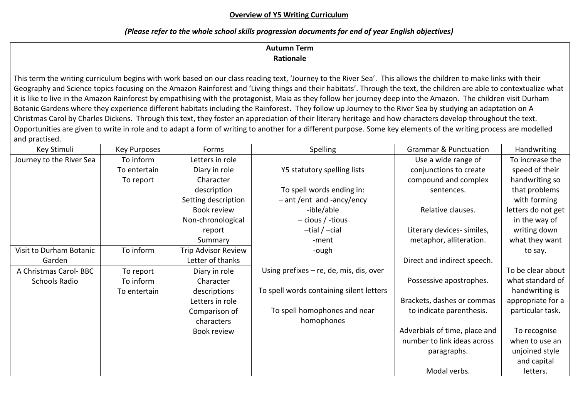### **Overview of Y5 Writing Curriculum**

# *(Please refer to the whole school skills progression documents for end of year English objectives)*

| Autumn Term                                                                                                                                                                                                                   |
|-------------------------------------------------------------------------------------------------------------------------------------------------------------------------------------------------------------------------------|
| <b>Rationale</b>                                                                                                                                                                                                              |
|                                                                                                                                                                                                                               |
| This term the writing curriculum begins with work based on our class reading text, 'Journey to the River Sea'. This allows the children to make links with their                                                              |
| Concumpled not colonized from the function of the District and United this relation and their holdiers in the third Thursch the the total dealership and also to contain the substitution of the second section of the United |

Geography and Science topics focusing on the Amazon Rainforest and 'Living things and their habitats'. Through the text, the children are able to contextualize what it is like to live in the Amazon Rainforest by empathising with the protagonist, Maia as they follow her journey deep into the Amazon. The children visit Durham Botanic Gardens where they experience different habitats including the Rainforest. They follow up Journey to the River Sea by studying an adaptation on A Christmas Carol by Charles Dickens. Through this text, they foster an appreciation of their literary heritage and how characters develop throughout the text. Opportunities are given to write in role and to adapt a form of writing to another for a different purpose. Some key elements of the writing process are modelled and practised.

| Key Stimuli              | <b>Key Purposes</b> | Forms                      | Spelling                                  | <b>Grammar &amp; Punctuation</b> | Handwriting        |
|--------------------------|---------------------|----------------------------|-------------------------------------------|----------------------------------|--------------------|
| Journey to the River Sea | To inform           | Letters in role            |                                           | Use a wide range of              | To increase the    |
|                          | To entertain        | Diary in role              | Y5 statutory spelling lists               | conjunctions to create           | speed of their     |
|                          | To report           | Character                  |                                           | compound and complex             | handwriting so     |
|                          |                     | description                | To spell words ending in:                 | sentences.                       | that problems      |
|                          |                     | Setting description        | $-$ ant/ent and -ancy/ency                |                                  | with forming       |
|                          |                     | Book review                | -ible/able                                | Relative clauses.                | letters do not get |
|                          |                     | Non-chronological          | $-$ cious / -tious                        |                                  | in the way of      |
|                          |                     | report                     | $-tial / -cial$                           | Literary devices- similes,       | writing down       |
|                          |                     | Summary                    | -ment                                     | metaphor, alliteration.          | what they want     |
| Visit to Durham Botanic  | To inform           | <b>Trip Advisor Review</b> | -ough                                     |                                  | to say.            |
| Garden                   |                     | Letter of thanks           |                                           | Direct and indirect speech.      |                    |
| A Christmas Carol-BBC    | To report           | Diary in role              | Using prefixes $-$ re, de, mis, dis, over |                                  | To be clear about  |
| Schools Radio            | To inform           | Character                  |                                           | Possessive apostrophes.          | what standard of   |
|                          | To entertain        | descriptions               | To spell words containing silent letters  |                                  | handwriting is     |
|                          |                     | Letters in role            |                                           | Brackets, dashes or commas       | appropriate for a  |
|                          |                     | Comparison of              | To spell homophones and near              | to indicate parenthesis.         | particular task.   |
|                          |                     | characters                 | homophones                                |                                  |                    |
|                          |                     | Book review                |                                           | Adverbials of time, place and    | To recognise       |
|                          |                     |                            |                                           | number to link ideas across      | when to use an     |
|                          |                     |                            |                                           | paragraphs.                      | unjoined style     |
|                          |                     |                            |                                           |                                  | and capital        |
|                          |                     |                            |                                           | Modal verbs.                     | letters.           |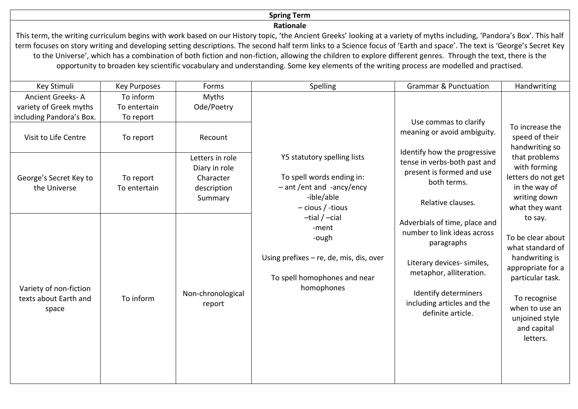# **Spring Term**

#### **Rationale**

This term, the writing curriculum begins with work based on our History topic, 'the Ancient Greeks' looking at a variety of myths including, 'Pandora's Box'. This half term focuses on story writing and developing setting descriptions. The second half term links to a Science focus of 'Earth and space'. The text is 'George's Secret Key to the Universe', which has a combination of both fiction and non-fiction, allowing the children to explore different genres. Through the text, there is the opportunity to broaden key scientific vocabulary and understanding. Some key elements of the writing process are modelled and practised.

| Key Stimuli                                              | <b>Key Purposes</b>       | Forms                                                                   | Spelling                                                                                                                                                                                                                                                    | <b>Grammar &amp; Punctuation</b>                                                                                                                                                                               | Handwriting                                                                                                                                                                                |
|----------------------------------------------------------|---------------------------|-------------------------------------------------------------------------|-------------------------------------------------------------------------------------------------------------------------------------------------------------------------------------------------------------------------------------------------------------|----------------------------------------------------------------------------------------------------------------------------------------------------------------------------------------------------------------|--------------------------------------------------------------------------------------------------------------------------------------------------------------------------------------------|
| Ancient Greeks-A<br>variety of Greek myths               | To inform<br>To entertain | Myths<br>Ode/Poetry                                                     |                                                                                                                                                                                                                                                             |                                                                                                                                                                                                                |                                                                                                                                                                                            |
| including Pandora's Box.                                 | To report                 |                                                                         |                                                                                                                                                                                                                                                             |                                                                                                                                                                                                                |                                                                                                                                                                                            |
| Visit to Life Centre                                     | To report                 | Recount                                                                 |                                                                                                                                                                                                                                                             | Use commas to clarify<br>meaning or avoid ambiguity.                                                                                                                                                           | To increase the<br>speed of their<br>handwriting so                                                                                                                                        |
| George's Secret Key to<br>the Universe                   | To report<br>To entertain | Letters in role<br>Diary in role<br>Character<br>description<br>Summary | Y5 statutory spelling lists<br>To spell words ending in:<br>$-$ ant /ent and -ancy/ency<br>-ible/able<br>$-$ cious / -tious<br>$-tial / -cial$<br>-ment<br>-ough<br>Using prefixes $-$ re, de, mis, dis, over<br>To spell homophones and near<br>homophones | Identify how the progressive<br>tense in verbs-both past and<br>present is formed and use<br>both terms.<br>Relative clauses.                                                                                  | that problems<br>with forming<br>letters do not get<br>in the way of<br>writing down<br>what they want                                                                                     |
| Variety of non-fiction<br>texts about Earth and<br>space | To inform                 | Non-chronological<br>report                                             |                                                                                                                                                                                                                                                             | Adverbials of time, place and<br>number to link ideas across<br>paragraphs<br>Literary devices- similes,<br>metaphor, alliteration.<br>Identify determiners<br>including articles and the<br>definite article. | to say.<br>To be clear about<br>what standard of<br>handwriting is<br>appropriate for a<br>particular task.<br>To recognise<br>when to use an<br>unjoined style<br>and capital<br>letters. |